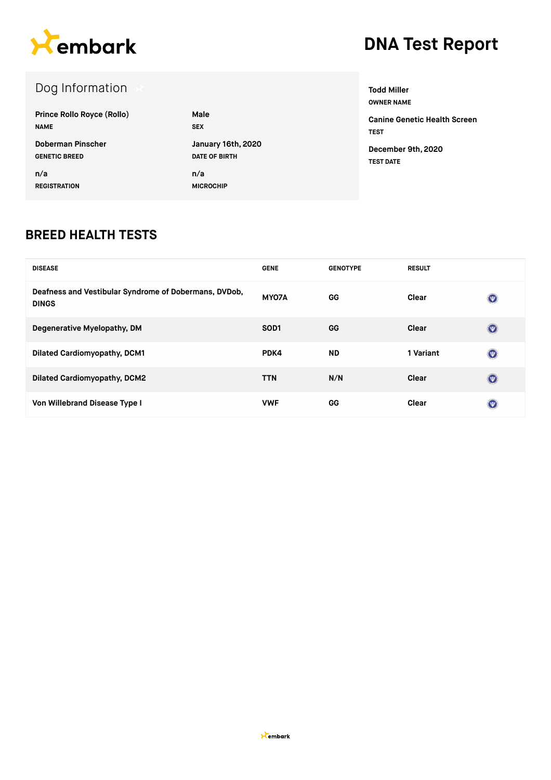

### Dog Information

| <b>Prince Rollo Royce (Rollo)</b> | Male                 |
|-----------------------------------|----------------------|
| <b>NAME</b>                       | <b>SEX</b>           |
| Doberman Pinscher                 | January 16th, 2020   |
| <b>GENETIC BREED</b>              | <b>DATE OF BIRTH</b> |
| n/a                               | n/a                  |
| <b>REGISTRATION</b>               | <b>MICROCHIP</b>     |

**Todd Miller OWNER NAME Canine Genetic Health Screen TEST**

**December 9th, 2020 TEST DATE**

#### **BREED HEALTH TESTS**

| <b>DISEASE</b>                                                        | <b>GENE</b>      | <b>GENOTYPE</b> | <b>RESULT</b> |                |
|-----------------------------------------------------------------------|------------------|-----------------|---------------|----------------|
| Deafness and Vestibular Syndrome of Dobermans, DVDob,<br><b>DINGS</b> | MY07A            | GG              | Clear         | $\odot$        |
| Degenerative Myelopathy, DM                                           | SOD <sub>1</sub> | <b>GG</b>       | Clear         | $\circledcirc$ |
| <b>Dilated Cardiomyopathy, DCM1</b>                                   | PDK4             | <b>ND</b>       | 1 Variant     | $\odot$        |
| <b>Dilated Cardiomyopathy, DCM2</b>                                   | <b>TTN</b>       | N/N             | Clear         | $\circledcirc$ |
| Von Willebrand Disease Type I                                         | <b>VWF</b>       | GG              | Clear         | $\circledast$  |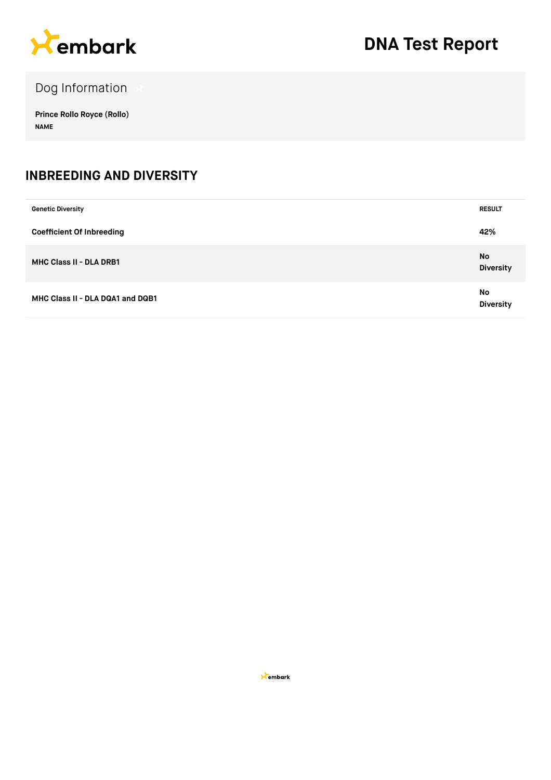

Dog Information

**Prince Rollo Royce (Rollo) NAME**

#### **INBREEDING AND DIVERSITY**

| <b>Genetic Diversity</b>         | <b>RESULT</b>                 |
|----------------------------------|-------------------------------|
| <b>Coefficient Of Inbreeding</b> | 42%                           |
| <b>MHC Class II - DLA DRB1</b>   | <b>No</b><br><b>Diversity</b> |
| MHC Class II - DLA DQA1 and DQB1 | No<br><b>Diversity</b>        |

**X**embark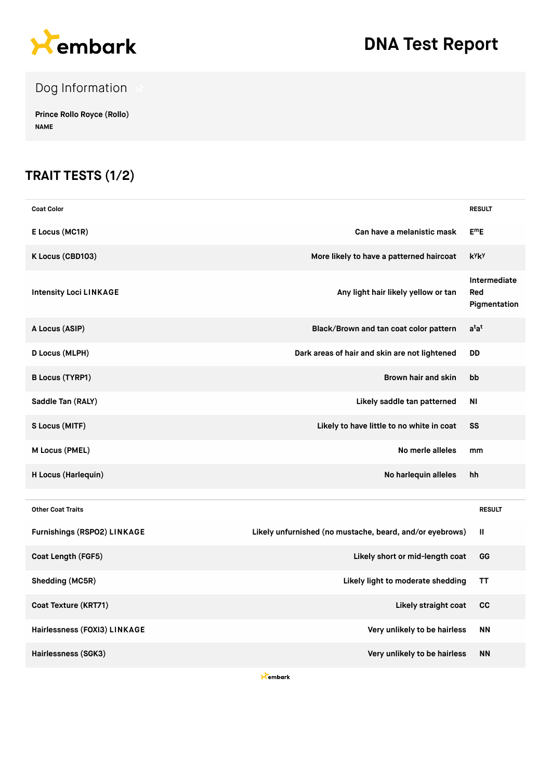

Dog Information

**Prince Rollo Royce (Rollo) NAME**

### **TRAIT TESTS (1/2)**

| <b>Coat Color</b>             |                                                          | <b>RESULT</b>                       |
|-------------------------------|----------------------------------------------------------|-------------------------------------|
| E Locus (MC1R)                | Can have a melanistic mask                               | $E^mE$                              |
| K Locus (CBD103)              | More likely to have a patterned haircoat                 | k <sup>y</sup> k <sup>y</sup>       |
| <b>Intensity Loci LINKAGE</b> | Any light hair likely yellow or tan                      | Intermediate<br>Red<br>Pigmentation |
| A Locus (ASIP)                | Black/Brown and tan coat color pattern                   | a <sup>t</sup> a <sup>t</sup>       |
| D Locus (MLPH)                | Dark areas of hair and skin are not lightened            | <b>DD</b>                           |
| <b>B Locus (TYRP1)</b>        | Brown hair and skin                                      | bb                                  |
| Saddle Tan (RALY)             | Likely saddle tan patterned                              | ΝI                                  |
| S Locus (MITF)                | Likely to have little to no white in coat                | SS                                  |
| M Locus (PMEL)                | No merle alleles                                         | mm                                  |
| H Locus (Harlequin)           | No harlequin alleles                                     | hh                                  |
| <b>Other Coat Traits</b>      |                                                          | <b>RESULT</b>                       |
| Furnishings (RSPO2) LINKAGE   | Likely unfurnished (no mustache, beard, and/or eyebrows) | Ш                                   |
| Coat Length (FGF5)            | Likely short or mid-length coat                          | GG                                  |
| Shedding (MC5R)               | Likely light to moderate shedding                        | ΤT                                  |
| Coat Texture (KRT71)          | Likely straight coat                                     | cc                                  |
| Hairlessness (FOXI3) LINKAGE  | Very unlikely to be hairless                             | <b>NN</b>                           |
| Hairlessness (SGK3)           | Very unlikely to be hairless                             | <b>NN</b>                           |

**X**embark